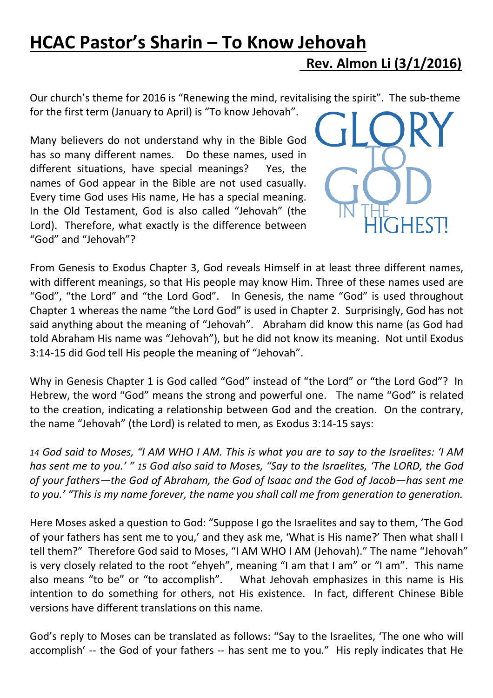## HCAC Pastor's Sharin – To Know Jehovah Rev. Almon Li (3/1/2016)

Our church's theme for 2016 is "Renewing the mind, revitalising the spirit". The sub-theme for the first term (January to April) is "To know Jehovah".

Many believers do not understand why in the Bible God has so many different names. Do these names, used in different situations, have special meanings? Yes, the names of God appear in the Bible are not used casually. Every time God uses His name, He has a special meaning. In the Old Testament, God is also called "Jehovah" (the Lord). Therefore, what exactly is the difference between "God" and "Jehovah"?



From Genesis to Exodus Chapter 3, God reveals Himself in at least three different names, with different meanings, so that His people may know Him. Three of these names used are "God", "the Lord" and "the Lord God". In Genesis, the name "God" is used throughout Chapter 1 whereas the name "the Lord God" is used in Chapter 2. Surprisingly, God has not said anything about the meaning of "Jehovah". Abraham did know this name (as God had told Abraham His name was "Jehovah"), but he did not know its meaning. Not until Exodus 3:14-15 did God tell His people the meaning of "Jehovah".

Why in Genesis Chapter 1 is God called "God" instead of "the Lord" or "the Lord God"? In Hebrew, the word "God" means the strong and powerful one. The name "God" is related to the creation, indicating a relationship between God and the creation. On the contrary, the name "Jehovah" (the Lord) is related to men, as Exodus 3:14-15 says:

14 God said to Moses, "I AM WHO I AM. This is what you are to say to the Israelites: 'I AM has sent me to you.' " 15 God also said to Moses, "Say to the Israelites, 'The LORD, the God of your fathers—the God of Abraham, the God of Isaac and the God of Jacob—has sent me to you.' "This is my name forever, the name you shall call me from generation to generation.

Here Moses asked a question to God: "Suppose I go the Israelites and say to them, 'The God of your fathers has sent me to you,' and they ask me, 'What is His name?' Then what shall I tell them?" Therefore God said to Moses, "I AM WHO I AM (Jehovah)." The name "Jehovah" is very closely related to the root "ehyeh", meaning "I am that I am" or "I am". This name also means "to be" or "to accomplish". What Jehovah emphasizes in this name is His intention to do something for others, not His existence. In fact, different Chinese Bible versions have different translations on this name.

God's reply to Moses can be translated as follows: "Say to the Israelites, 'The one who will accomplish' -- the God of your fathers -- has sent me to you." His reply indicates that He